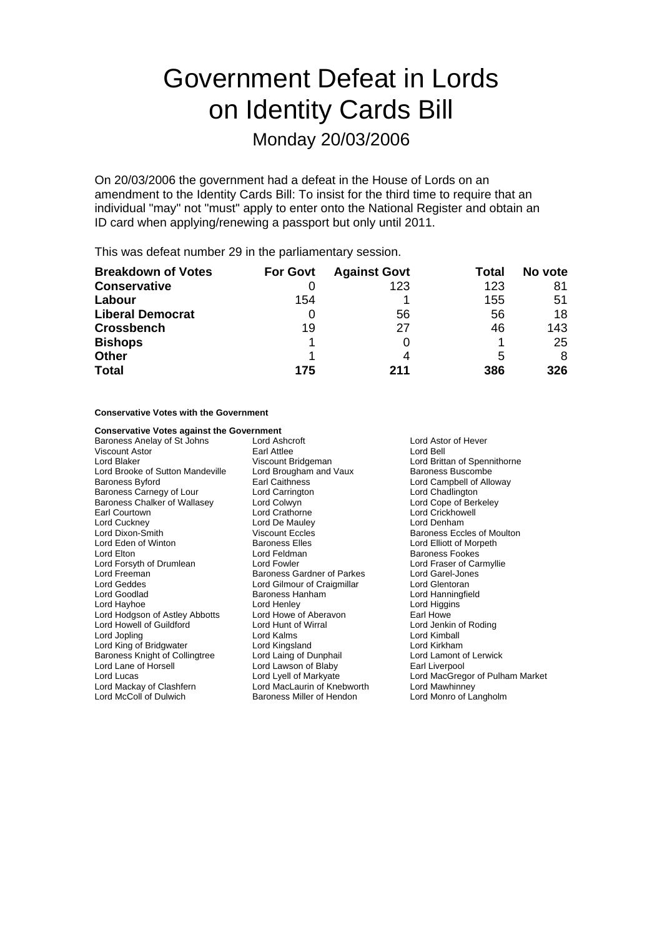# Government Defeat in Lords on Identity Cards Bill

### Monday 20/03/2006

On 20/03/2006 the government had a defeat in the House of Lords on an amendment to the Identity Cards Bill: To insist for the third time to require that an individual "may" not "must" apply to enter onto the National Register and obtain an ID card when applying/renewing a passport but only until 2011.

This was defeat number 29 in the parliamentary session.

| <b>Breakdown of Votes</b> | <b>For Govt</b> | <b>Against Govt</b> | Total | No vote |
|---------------------------|-----------------|---------------------|-------|---------|
| <b>Conservative</b>       |                 | 123                 | 123   | 81      |
| Labour                    | 154             |                     | 155   | 51      |
| <b>Liberal Democrat</b>   | O               | 56                  | 56    | 18      |
| <b>Crossbench</b>         | 19              | 27                  | 46    | 143     |
| <b>Bishops</b>            |                 |                     |       | 25      |
| <b>Other</b>              |                 |                     | 5     | 8       |
| <b>Total</b>              | 175             | 211                 | 386   | 326     |

#### **Conservative Votes with the Government**

#### **Conservative Votes against the Government**

Baroness Anelay of St Johns Lord Ashcroft **Lord Astor of Hever** Lord Astor of Hever Viscount Astor **Carl Attlee** Earl Attlee Lord Bell<br>
Lord Blaker **Carl Attlee** Viscount Bridgeman Cord Britt Lord Brooke of Sutton Mandeville Baroness Byford **Earl Caithness** Earl Caithness **Lord Campbell of Alloway** Baroness Carnegy of Lour Lord Carrington<br>
Baroness Chalker of Wallasey Lord Colwyn Colly Lord Cope of Berkeley Baroness Chalker of Wallasey<br>Earl Courtown Lord Cuckney **Lord Cuckney** Lord De Mauley **Lord Denham**<br>
Lord Discount Lord De Lord Denham<br>
Lord Discount Eccles **Communication**<br>
Cord Discount Eccles Lord Dixon-Smith **Calculation Control Control** Viscount Eccles Communication Baroness Eccles of Moulton Lord Elliott of Morpeth<br>
Lord Eden of Winton **Baroness Elles** Communication Corporation Corporation Corporation Corpor **Lord Elton Lord Feldman Baroness Fookes** Lord Forsyth of Drumlean Lord Fowler Lord Faser of Carmyllie<br>
Lord Freeman **Lord Carmyllie**<br>
Lord Garel-Jones Lord Freeman **Baroness Gardner of Parkes** Lord Garel-Jones Lord Garel-Jones Cardner of Parkes Lord Garel-Jones<br>
Lord Geddes **Lord Garelian Lord Gilmour** of Craigmillar Lord Glentoran Lord Geddes Lord Gilmour of Craigmillar<br>
Lord Goodlad **Contains Container Container Container**<br>
Baroness Hanham Lord Hayhoe **Lord Henley** Lord Henley **Lord Howe** Lord Higgins<br>
Lord Hodgson of Astley Abbotts Lord Howe of Aberavon **Learl Howe** Lord Hodgson of Astley Abbotts Lord Howe of Aberavon Farl Howe<br>
Lord Howell of Guildford Lord Hunt of Wirral Lord Howe Lord Jenkin of Roding Lord Howell of Guildford Lord Jopling Lord Kalms Lord Kimball Lord King of Bridgwater **Lord Kingsland** Lord Kingsland Lord Kirkham<br>
Baroness Knight of Collingtree Lord Laing of Dunphail Lord Lamont of Lerwick Baroness Knight of Collingtree Lord Lane of Horsell Lord Lawson of Blaby Earl Liverpool Lord Lucas Lord Lyell of Markyate Lord MacGregor of Pulham Market Lord McColl of Dulwich **Baroness Miller of Hendon** Lord Monro of Langholm

Viscount Bridgeman **Lord Brittan of Spennithorne**<br>
Lord Brougham and Vaux Baroness Buscombe Lord Crathorne Lord Crickhowell **Baroness Elles**<br>
Lord Eeldman<br>
Lord Eeldman<br>
Raroness Eookes Baroness Hanham Lord Hanningfield Lord MacLaurin of Knebworth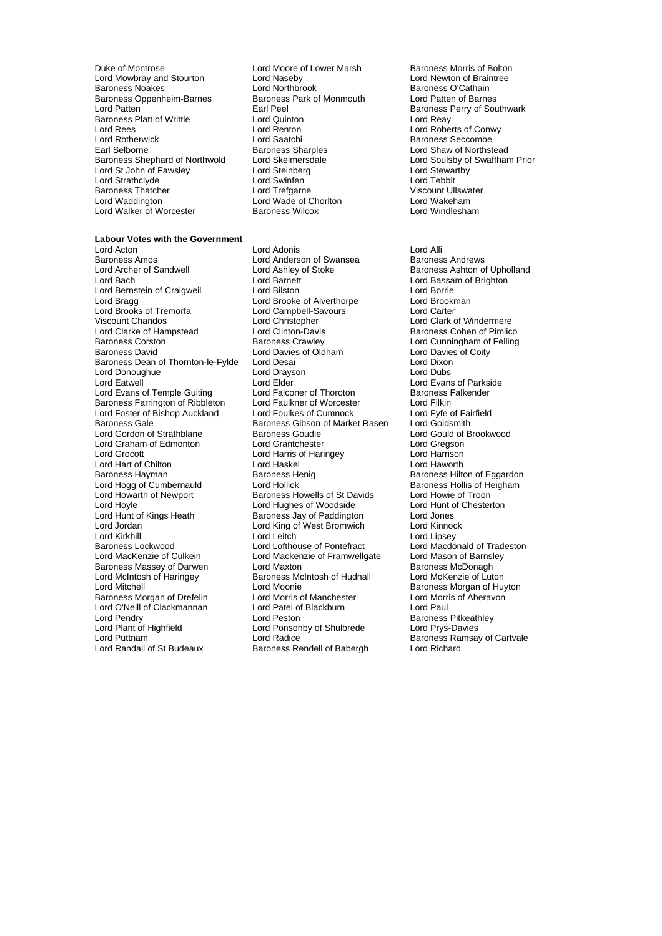Duke of Montrose **Lord Moore of Lower Marsh** Baroness Morris of Bolton<br>
Lord Move and Stourton Lord Naseby **Baroness Morris Corporation**<br>
Lord Mowbray and Stourton **Braintie** Lord Mowbray and Stourton Lord Naseby<br>
Baroness Noakes<br>
Lord Northbrook Baroness Oppenheim-Barnes Baroness<br>
Lord Patten **Earl Peel** Lord Patten in the Earl Peel Earl Peel Cord Caroness Perry of Southwark<br>Baroness Platt of Writtle **Baroness Perry Cord Cord Cord Cord Cord Cord Cord Reav Baroness Platt of Writtle Lord Quinton Lord Rees** Lord Renton Lord Rees Lord Renton Lord Report of Conwy<br>
Lord Roberts of Conwy<br>
Lord Roberts Conwy<br>
Lord Roberts Conwy<br>
Lord Roberts Conwy Lord Rotherwick **Lord Saatchi** Lord Saatchi Baroness Seccombe<br>Earl Selborne **Baroness Sharples** Baroness Sharples Lord Shaw of Northst Baroness Shephard of Northwold Lord Skelmersdale Lord Soulsby of Lord Soulsby of Lord Stewartby Cord Steinberg Lord St John of Fawsley **Lord Steinberg Corporation Corporation** Lord Stewart<br>Cord Strathclyde Lord Swinten Lord Swinten Lord Strathclyde Lord Swinfen **Lord Strathclyde**<br>
Baroness Thatcher Lord Trefoarne Baroness Thatcher **Communist Control Lord Trefgarne** Communist Cord Wiscount Ullswater<br>
Lord Waddington **Victor Control Control Control Control** Lord Wakeham Lord Walker of Worcester

Lord Northbrook **Baroness O'Cathain**<br>Baroness Park of Monmouth Lord Patten of Barnes Lord Wade of Chorlton Lord Wakeham<br>Baroness Wilcox Lord Windlesham

**Labour Votes with the Government** Lord Archer of Sandwell **Lord Ashley of Stoke** Baroness Ashton of Upholland Lord Bach Lord Barnett Lord Bassam of Brighton<br>
Lord Bernstein of Craigweil Lord Bilston<br>
Lord Bornie Lord Bornie Lord Bernstein of Craigweil **Lord Bilston** Lord Borne Lord Borne<br>
Lord Brook Lord Brooke of Alverthorpe Lord Brookman Lord Brooks of Tremorfa<br>
Viscount Chandos<br>
Lord Christopher Viscount Chandos Lord Christopher Lord Clark of Windermere Lord Clarke of Hampstead Lord Clinton-Davis **Baroness Cohen of Pimlico**<br>Baroness Corston **Baroness Crawley** Lord Cunningham of Felling Baroness David **Lord Davies of Oldham** Lord Davies of Coity<br>Baroness Dean of Thornton-le-Fylde Lord Desai **Dean Commence Lord Dixon** Baroness Dean of Thornton-le-Fylde Lord Desai Lord Dixon Lord Donoughue Lord Eatwell Lord Elder Lord Evans of Parkside Lord Evans of Temple Guiting Lord Falconer of Thoroton Baroness Falkender<br>
Baroness Farrington of Ribbleton Lord Faulkner of Worcester Lord Filkin Baroness Farrington of Ribbleton Lord Faulkner of Worcester Lord Filkin<br>Lord Foster of Bishop Auckland Lord Foulkes of Cumnock Lord Fyfe of Fairfield Lord Foster of Bishop Auckland Baroness Gale **Baroness Gibson of Market Rasen** Lord Goldsmith<br>Lord Gordon of Strathblane **Baroness Goudie** Lord Gould of Brookwood Lord Gordon of Strathblane **Baroness Goudie** Cord Gould of Lord Gould of Lord Gould of Lord Greason Lord Graham of Edmonton Lord Grantchester Lord Gregson Lord Hart of Chilton **Lord Haskel Lord Haskel** Lord Haworth Lord Haworth Lord Haworth Lord Haworth Lord Haworth<br>Baroness Hayman **Baroness Heng** Baroness Henig Lord Hogg of Cumbernauld Lord Howarth of Newport Baroness Howells of St Davids Lord Howie of Troon<br>
Lord Hoyle Lord Hughes of Woodside Lord Hunt of Chesterton Lord Hoyle Lord Hughes of Woodside Lord Hunt c<br>
Lord Hunt of Kings Heath **Baroness Jav of Paddington** Lord Jones Lord Jordan **Lord King of West Bromwich** Lord Kirkhill Lord Lord Leitch Lord Lord Lord Lipsey<br>
Baroness Lockwood Lord Lord Lord Lord Lord Macdon<br>
Lord Macdon Baroness Lockwood Lord Lord Lofthouse of Pontefract Lord Macdonald of Tradeston<br>
Lord MacKenzie of Culkein Lord Mackenzie of Framwellgate Lord Mason of Barnsley Baroness Massey of Darwen Lord Maxton Lord Maxton<br>
Lord McIntosh of Haringey Baroness McIntosh of Hudnall Lord McKenzie of Luton Lord Mitchell<br>
Baroness Morgan of Drefelin
Lord Mornis of Manchester
Lord Morris of Aberavon
Lord Mornis of Aberavon
Lord Mornis of Aberavon
Lord Mornis of Aberavon
Lord Mornis of Aberavon Baroness Morgan of Drefelin Lord O'Neill of Clackmannan Lord Patel of Blackburn Lord Paul Lord Pendry **Communist Communist Communist Communist Communist Communist Communist Communist Communist Parameter**<br>
Lord Plant of Highfield **Communist Communist Communist Communist Communist Communist Communist Communist Co** Lord Plant of Highfield Lord Ponsonby of Shulbrede<br>
Lord Puttnam Lord Radice

Lord Acton **Lord Adonis**<br>
Lord Anderson of Swansea<br>
Baroness Amos **Lord Anderson of Swansea**<br>
Lord Anderson of Swansea<br>
Baroness Andrews Lord Anderson of Swansea<br>Lord Ashley of Stoke Lord Brooke of Alverthorpe Lord Brookn<br>
Lord Campbell-Savours
Lord Carter Lord Harris of Haringey Baroness Henig **Baroness Hilton of Eggardon**<br>
Lord Hollick **Baroness Hollis of Heigham** Baroness Jay of Paddington Lord Jones<br>
Lord King of West Bromwich Lord Kinnock Lord Mackenzie of Framwellgate Lord Mason of Barnsl<br>Lord Maxton Culkein Baroness McDonagh Baroness McIntosh of Hudnall Lord Puttnam **Lord Radice** Lord Radice **Baroness Ramsay of Cartvale**<br>
Lord Randall of St Budeaux Baroness Rendell of Babergh Lord Richard Baroness Rendell of Babergh

Earoness Sharples<br>
Lord Skelmersdale<br>
Lord Soulsby of Swaffham Prior

**Lord Cunningham of Felling**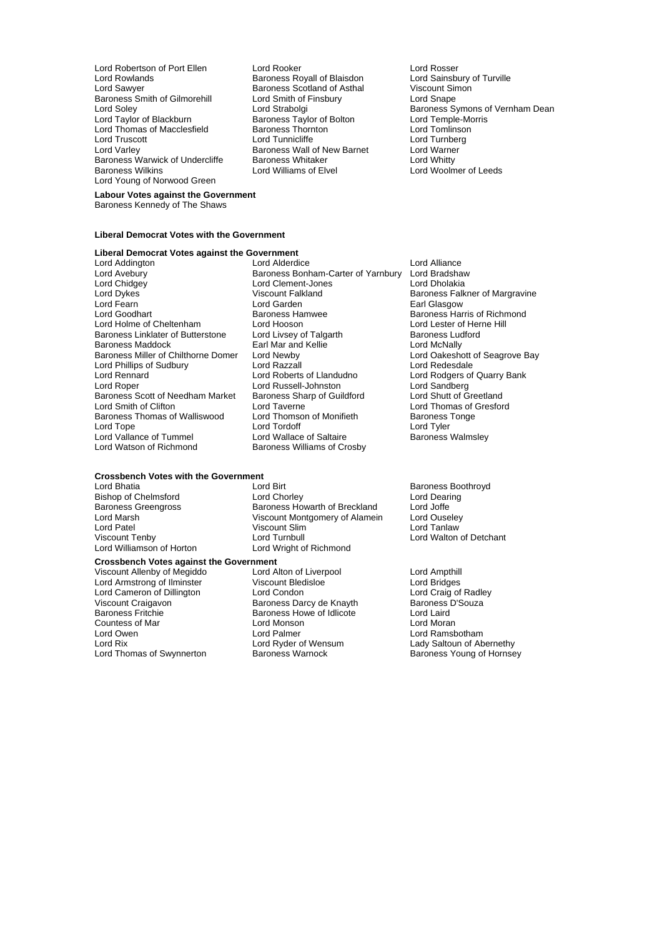Lord Robertson of Port Ellen Lord Rooker Cord Rosser<br>
Lord Rowlands Cord Rosser Baroness Royall of Blaisdon Lord Sainsbury of Turville Lord Rowlands **Baroness Royall of Blaisdon** Lord Sainsbury of Baroness Royall of Blaisdon<br>
Lord Sawyer **Communist Communist Baroness Scotland of Asthal** Viscount Simon Baroness Smith of Gilmorehill Lord Smith of Finsbury Lord Snape Lord Thomas of Macclesfield<br>
Lord Truscott<br>
Lord Tunnicliffe Lord Varley **Communist Communist Communist Communist Communist Communist Communist Communist Communist Communist Communist Communist Communist Communist Communist Communist Communist Communist Communist Communist Communist** Baroness Warwick of Undercliffe Baroness Whitaker<br>Baroness Wilkins **Baroness Whiteker Lord Williams of Elvel** Lord Young of Norwood Green

Baroness Scotland of Asthal<br>Lord Smith of Finsbury Exaroness Taylor of Bolton Lord Temple-Morrison Lord Temple-Morrison Lord Temple-Morrison Lord Temple-Morrison Lord Temple-Morrison Lord Temple-Morrison Lord Temple-Morrison Lord Temple-Morrison Lord Temple-Morrison Lord T

Lord Soley **Lord Strabolgi** Baroness Symons of Vernham Dean<br>Lord Tavlor of Blackburn Baroness Tavlor of Bolton Lord Temple-Morris Lord Turnberg<br>Lord Warner Lord Woolmer of Leeds

### **Labour Votes against the Government**

Baroness Kennedy of The Shaws

#### **Liberal Democrat Votes with the Government**

## **Liberal Democrat Votes against the Government**

- Lord Chidgey Lord Clement-Jones Lord Dholakia Lord Dykes (Exercise of Margravine Viscount Falkland Baroness Falkner of Margravine<br>
Baroness Falkner of Margravine<br>
Lord Fearn (Bassow Farl Glassow) Lord Goodhart **Baroness Hamwee** Baroness Hammes Harris of Richmond<br>
Lord Holme of Cheltenham **Baroness Hammes Harris of Baroness Harris of Richmond** Lord Holme of Cheltenham Lord Hooson Lord Home of Cheltenham Lord Hooson Lord Lester of Herne Herne Hill<br>Baroness Linklater of Butterstone Lord Livsey of Talgarth Baroness Ludford Baroness Linklater of Butterstone Lord Livsey of Talgarth Baroness Ludes Ludes<br>Baroness Luddock Earl Mar and Kellie Lord McNally Baroness Miller of Chilthorne Domer Lord Newby **Lord Call Condensiation**<br>
Lord Call Cord Cord Cord Razzall Cord Cord Cord Cord Redesdale Lord Phillips of Sudbury Lord Razzall<br>Lord Rennard Lord Roberts of Handudno Lord Rennard Lord Roberts of Llandudno Lord Rodgers of Quarry Bank Baroness Scott of Needham Market Baroness Sharp Cord Smith of Clifton Baroness Thomas of Walliswood Lord Tope Lord Tordoff Cord Tordoff Lord Tordoff Lord Tyler<br>
Lord Vallance of Tummel Lord Wallace of Saltaire Corporation Baroness Walmsley Lord Vallance of Tummel<br>Lord Watson of Richmond
- Lord Addington **Lord Alliance**<br>
Lord Avebury **Lord Alliance** Baroness Bonham-Carter of Yarnbury Lord Bradsha Baroness Bonham-Carter of Yarnbury Lord Bradshaw Baroness Maddock Earl Mar and Kellie Lord McNally Lord Russell-Johnston Lord Sandberg<br>
Baroness Sharp of Guildford Lord Shutt of Greetland Lord Taverne  $\overline{\phantom{a}}$  Lord Thomas of Gresford<br>
Lord Thomson of Monifieth Baroness Tonge Baroness Williams of Crosby

## **Crossbench Votes with the Government**

Lord Patel Viscount Slim Lord Tanlaw

### **Crossbench Votes against the Government**

Viscount Allenby of Megiddo<br>
Lord Armstrong of Ilminster Ciscount Bledisloe<br>
Lord Armstrong of Ilminster Ciscount Bledisloe<br>
Lord Armstrong of Ilminster Ciscount Bledisloe Lord Armstrong of Ilminster Viscount Bledisloe Lord Bridges Lord Cameron of Dillington Lord Condon Lord Condon Lord Craig of Radle<br>Viscount Craigavon Lord Chamess Darcy de Knayth Baroness D'Souza Viscount Craigavon University Baroness Darcy de Knayth Baroness I<br>Baroness Fritchie Baroness Howe of Idlicote Lord Laird Countess of Mar Lord Monson Lord Moran Lord Owen **Lord Palmer Lord Palmer** Cord Palmer Lord Ramsbotham<br>
Lord Rix Cord Ryder of Wensum Ladv Saltoun of Ab Lord Rix Lord Ryder of Wensum Lady Saltoun of Abernethy<br>
Lord Thomas of Swynnerton Baroness Warnock Charles Baroness Young of Hornse

Lord Birt **Baroness Boothroyd**<br>
Lord Chorley **Baroness Boothroyd** Bishop of Chelmsford **Exercise Lord Chorley** Cord Chorley **Lord Chorley** Cord Chorless Green around Dearing Baroness Howarth of Breckland Lord Joffe Baroness Greengross Baroness Howarth of Breckland Lord Joffe<br>
Lord Marsh Communication Control Communication Communication Communication Communication Communication Communication Communication Communication Communication C Lord Marsh **Communist Communist Communist Communist Communist Communist Communist Communist Communist Communist Communist Communist Communist Communist Communist Communist Viscount Slim<br>
Viscount Slim Communist Communist C** Viscount Tenby **Lord Turnbull** Lord Turnbull Lord Turnbull Lord Walton of Detchant<br>Lord Williamson of Horton **Lord Wright of Richmond** Lord Wright of Richmond

Baroness Howe of Idlicote

Earl Glasgow

Baroness Young of Hornsey